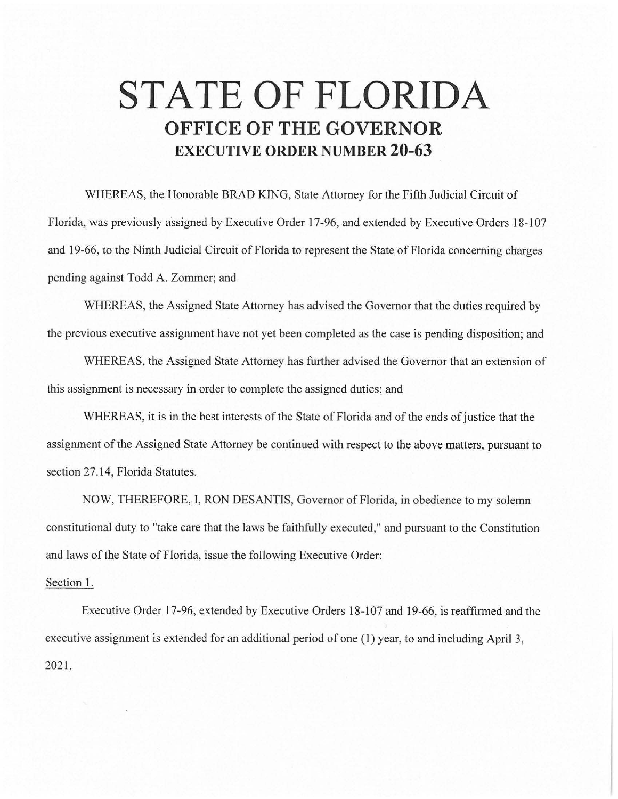## **STATE OF FLORIDA OFFICE OF THE GOVERNOR EXECUTIVE ORDER NUMBER 20-63**

WHEREAS, the Honorable BRAD KING, State Attorney for the Fifth Judicial Circuit of Florida, was previously assigned by Executive Order 17-96, and extended by Executive Orders 18-107 and 19-66, to the Ninth Judicial Circuit of Florida to represent the State of Florida concerning charges pending against Todd A. Zommer; and

WHEREAS, the Assigned State Attorney has advised the Governor that the duties required by the previous executive assignment have not yet been completed as the case is pending disposition; and

WHEREAS, the Assigned State Attorney has further advised the Governor that an extension of this assignment is necessary in order to complete the assigned duties; and

WHEREAS, it is in the best interests of the State of Florida and of the ends of justice that the assignment of the Assigned State Attorney be continued with respect to the above matters, pursuant to section 27.14, Florida Statutes.

NOW, THEREFORE, I, RON DESANTIS, Governor of Florida, in obedience to my solemn constitutional duty to "take care that the laws be faithfully executed," and pursuant to the Constitution and laws of the State of Florida, issue the following Executive Order:

## Section 1.

Executive Order 17-96, extended by Executive Orders 18-107 and 19-66, is reaffirmed and the executive assignment is extended for an additional period of one (1) year, to and including April 3, 2021.